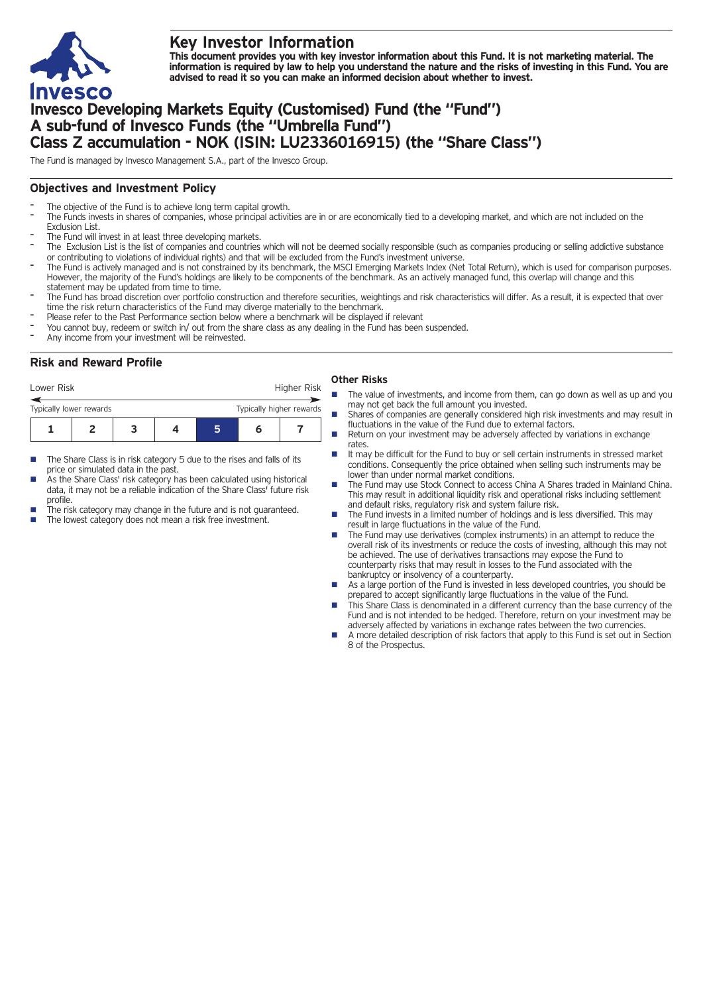

# **Key Investor Information**

This document provides you with key investor information about this Fund. It is not marketing material. The information is required by law to help you understand the nature and the risks of investing in this Fund. You are **advised to read it so you can make an informed decision about whether to invest.**

# **Invesco Developing Markets Equity (Customised) Fund (the "Fund") A sub-fund of Invesco Funds (the "Umbrella Fund") Class Z accumulation - NOK (ISIN: LU2336016915) (the "Share Class")**

The Fund is managed by Invesco Management S.A., part of the Invesco Group.

## **Objectives and Investment Policy**

- The objective of the Fund is to achieve long term capital growth.
- The Funds invests in shares of companies, whose principal activities are in or are economically tied to a developing market, and which are not included on the Exclusion List.
- The Fund will invest in at least three developing markets.
- The Exclusion List is the list of companies and countries which will not be deemed socially responsible (such as companies producing or selling addictive substance or contributing to violations of individual rights) and that will be excluded from the Fund's investment universe.
- The Fund is actively managed and is not constrained by its benchmark, the MSCI Emerging Markets Index (Net Total Return), which is used for comparison purposes. However, the majority of the Fund's holdings are likely to be components of the benchmark. As an actively managed fund, this overlap will change and this statement may be updated from time to time.
- The Fund has broad discretion over portfolio construction and therefore securities, weightings and risk characteristics will differ. As a result, it is expected that over time the risk return characteristics of the Fund may diverge materially to the benchmark.
- Please refer to the Past Performance section below where a benchmark will be displayed if relevant
- You cannot buy, redeem or switch in/ out from the share class as any dealing in the Fund has been suspended.
- Any income from your investment will be reinvested.

## **Risk and Reward Profile**

| Lower Risk              |  |                          |  | Higher Risk |  |
|-------------------------|--|--------------------------|--|-------------|--|
| Typically lower rewards |  | Typically higher rewards |  |             |  |
|                         |  |                          |  | n           |  |

- The Share Class is in risk category 5 due to the rises and falls of its price or simulated data in the past.
- As the Share Class' risk category has been calculated using historical data, it may not be a reliable indication of the Share Class' future risk profile.
- The risk category may change in the future and is not guaranteed.
	- The lowest category does not mean a risk free investment.

### **Other Risks**

- The value of investments, and income from them, can go down as well as up and you may not get back the full amount you invested.
- Shares of companies are generally considered high risk investments and may result in fluctuations in the value of the Fund due to external factors.
- Return on your investment may be adversely affected by variations in exchange rates.
- It may be difficult for the Fund to buy or sell certain instruments in stressed market conditions. Consequently the price obtained when selling such instruments may be lower than under normal market conditions.
- n The Fund may use Stock Connect to access China A Shares traded in Mainland China. This may result in additional liquidity risk and operational risks including settlement and default risks, regulatory risk and system failure risk.
- n The Fund invests in a limited number of holdings and is less diversified. This may result in large fluctuations in the value of the Fund.
- The Fund may use derivatives (complex instruments) in an attempt to reduce the overall risk of its investments or reduce the costs of investing, although this may not be achieved. The use of derivatives transactions may expose the Fund to counterparty risks that may result in losses to the Fund associated with the bankruptcy or insolvency of a counterparty.
- As a large portion of the Fund is invested in less developed countries, you should be prepared to accept significantly large fluctuations in the value of the Fund.
- This Share Class is denominated in a different currency than the base currency of the Fund and is not intended to be hedged. Therefore, return on your investment may be adversely affected by variations in exchange rates between the two currencies.
- n A more detailed description of risk factors that apply to this Fund is set out in Section 8 of the Prospectus.